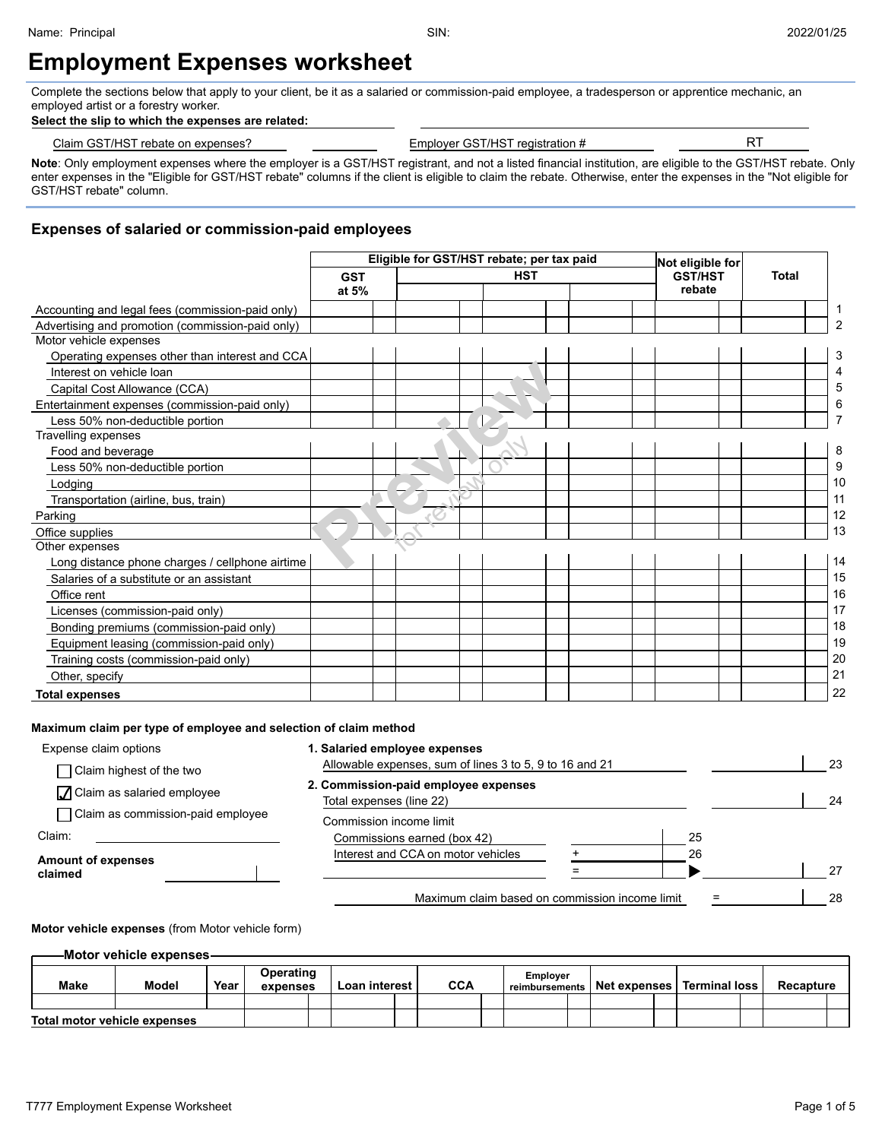# **Employment Expenses worksheet**

Complete the sections below that apply to your client, be it as a salaried or commission-paid employee, a tradesperson or apprentice mechanic, an employed artist or a forestry worker.

#### **Select the slip to which the expenses are related:**

| . பட<br>่`laim<br>rebate o<br>: on expenses'<br>י החוו הדי | <b>GST/HST</b><br>registration<br>-mnlover | --<br>$\ddot{\phantom{1}}$ |  |
|------------------------------------------------------------|--------------------------------------------|----------------------------|--|
|                                                            |                                            |                            |  |

**Note**: Only employment expenses where the employer is a GST/HST registrant, and not a listed financial institution, are eligible to the GST/HST rebate. Only enter expenses in the "Eligible for GST/HST rebate" columns if the client is eligible to claim the rebate. Otherwise, enter the expenses in the "Not eligible for GST/HST rebate" column.

### **Expenses of salaried or commission-paid employees**

|                                                  |            |  | Eligible for GST/HST rebate; per tax paid |  | Not eligible for |              |                |
|--------------------------------------------------|------------|--|-------------------------------------------|--|------------------|--------------|----------------|
|                                                  | <b>GST</b> |  | <b>HST</b>                                |  | <b>GST/HST</b>   | <b>Total</b> |                |
|                                                  | at 5%      |  |                                           |  | rebate           |              |                |
| Accounting and legal fees (commission-paid only) |            |  |                                           |  |                  |              | 1              |
| Advertising and promotion (commission-paid only) |            |  |                                           |  |                  |              | $\overline{2}$ |
| Motor vehicle expenses                           |            |  |                                           |  |                  |              |                |
| Operating expenses other than interest and CCA   |            |  |                                           |  |                  |              | 3              |
| Interest on vehicle loan                         |            |  |                                           |  |                  |              |                |
| Capital Cost Allowance (CCA)                     |            |  |                                           |  |                  |              | 5              |
| Entertainment expenses (commission-paid only)    |            |  |                                           |  |                  |              | 6              |
| Less 50% non-deductible portion                  |            |  |                                           |  |                  |              |                |
| Travelling expenses                              |            |  |                                           |  |                  |              |                |
| Food and beverage                                |            |  |                                           |  |                  |              | 8              |
| Less 50% non-deductible portion                  |            |  |                                           |  |                  |              | 9              |
| Lodging                                          |            |  |                                           |  |                  |              | 10             |
| Transportation (airline, bus, train)             |            |  |                                           |  |                  |              | 11             |
| Parking                                          |            |  |                                           |  |                  |              | 12             |
| Office supplies                                  |            |  |                                           |  |                  |              | 13             |
| Other expenses                                   |            |  |                                           |  |                  |              |                |
| Long distance phone charges / cellphone airtime  |            |  |                                           |  |                  |              | 14             |
| Salaries of a substitute or an assistant         |            |  |                                           |  |                  |              | 15             |
| Office rent                                      |            |  |                                           |  |                  |              | 16             |
| Licenses (commission-paid only)                  |            |  |                                           |  |                  |              | 17             |
| Bonding premiums (commission-paid only)          |            |  |                                           |  |                  |              | 18             |
| Equipment leasing (commission-paid only)         |            |  |                                           |  |                  |              | 19             |
| Training costs (commission-paid only)            |            |  |                                           |  |                  |              | 20             |
| Other, specify                                   |            |  |                                           |  |                  |              | 21             |
| <b>Total expenses</b>                            |            |  |                                           |  |                  |              | 22             |

#### **Maximum claim per type of employee and selection of claim method**

| Expense claim options                                  | 1. Salaried employee expenses<br>Allowable expenses, sum of lines 3 to 5, 9 to 16 and 21 |    | 23 |
|--------------------------------------------------------|------------------------------------------------------------------------------------------|----|----|
| Claim highest of the two<br>Olaim as salaried employee | 2. Commission-paid employee expenses<br>Total expenses (line 22)                         |    | 24 |
| Claim as commission-paid employee<br>Claim:            | Commission income limit<br>Commissions earned (box 42)                                   | 25 |    |
| <b>Amount of expenses</b><br>claimed                   | Interest and CCA on motor vehicles                                                       | 26 | 27 |
|                                                        | Maximum claim based on commission income limit                                           |    | 28 |

#### **Motor vehicle expenses** (from Motor vehicle form)

**Motor vehicle expenses**

| Make | <b>Model</b>                 | Year | Operating<br>expenses | Loan interest | <b>CCA</b> | <b>Employer</b><br>reimbursements | Net expenses   Terminal loss |  | <b>Recapture</b> |  |
|------|------------------------------|------|-----------------------|---------------|------------|-----------------------------------|------------------------------|--|------------------|--|
|      |                              |      |                       |               |            |                                   |                              |  |                  |  |
|      | Total motor vehicle expenses |      |                       |               |            |                                   |                              |  |                  |  |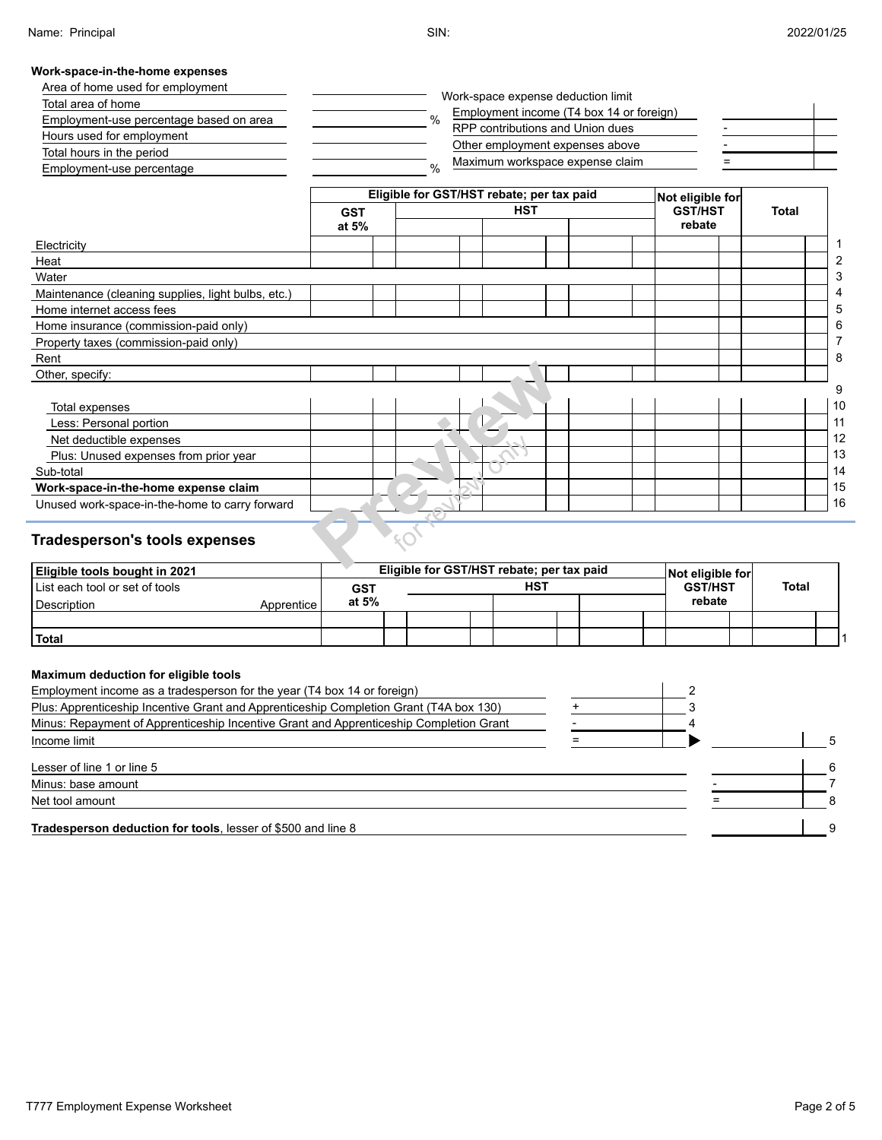#### **Work-space-in-the-home expenses**

| Area of home used for employment        | Work-space expense deduction limit                |  |
|-----------------------------------------|---------------------------------------------------|--|
| Total area of home                      | Employment income (T4 box 14 or foreign)          |  |
| Employment-use percentage based on area | $\frac{0}{0}$<br>RPP contributions and Union dues |  |
| Hours used for employment               | Other employment expenses above                   |  |
| Total hours in the period               | Maximum workspace expense claim<br>$\frac{0}{6}$  |  |
| Employment-use percentage               |                                                   |  |

|                                                     |            | Eligible for GST/HST rebate; per tax paid | Not eligible for |       |                |
|-----------------------------------------------------|------------|-------------------------------------------|------------------|-------|----------------|
|                                                     | <b>GST</b> | <b>HST</b>                                | <b>GST/HST</b>   | Total |                |
|                                                     | at 5%      |                                           | rebate           |       |                |
| Electricity                                         |            |                                           |                  |       | 1              |
| Heat                                                |            |                                           |                  |       | $\overline{2}$ |
| Water                                               |            |                                           |                  |       | 3              |
| Maintenance (cleaning supplies, light bulbs, etc.)  |            |                                           |                  |       | 4              |
| Home internet access fees                           |            |                                           |                  |       | 5              |
| Home insurance (commission-paid only)               |            |                                           |                  |       | 6              |
| Property taxes (commission-paid only)               |            |                                           |                  |       | 7              |
| Rent                                                |            |                                           |                  |       | 8              |
| Other, specify:                                     |            |                                           |                  |       |                |
|                                                     |            |                                           |                  |       | 9              |
| Total expenses                                      |            |                                           |                  |       | 10             |
| Less: Personal portion                              |            |                                           |                  |       | 11             |
| Net deductible expenses                             |            |                                           |                  |       | 12             |
| Plus: Unused expenses from prior year               |            |                                           |                  |       | 13             |
| Sub-total                                           |            |                                           |                  |       | 14             |
| Work-space-in-the-home expense claim                |            |                                           |                  |       | 15             |
| Unused work-space-in-the-home to carry forward      |            |                                           |                  |       | 16             |
| <b>Tradesperson's tools expenses</b>                |            |                                           |                  |       |                |
| <b>MISSISTER ASSESSMENT AND A ROAD AND A REPORT</b> |            | Elisible for CCT/UCT rehate: nor toy noid |                  |       |                |

# **Tradesperson's tools expenses**

| <b>Eligible tools bought in 2021</b> |              |            | Eligible for GST/HST rebate; per tax paid |     |  | Not eligible for |              |  |
|--------------------------------------|--------------|------------|-------------------------------------------|-----|--|------------------|--------------|--|
| List each tool or set of tools       |              | <b>GST</b> |                                           | HST |  | <b>GST/HST</b>   | <b>Total</b> |  |
| Description                          | Apprentice l | at 5%      |                                           |     |  | rebate           |              |  |
|                                      |              |            |                                           |     |  |                  |              |  |
| Total                                |              |            |                                           |     |  |                  |              |  |

#### **Maximum deduction for eligible tools**

| Employment income as a tradesperson for the year (T4 box 14 or foreign)                |  |  |
|----------------------------------------------------------------------------------------|--|--|
| Plus: Apprenticeship Incentive Grant and Apprenticeship Completion Grant (T4A box 130) |  |  |
| Minus: Repayment of Apprenticeship Incentive Grant and Apprenticeship Completion Grant |  |  |
| Income limit                                                                           |  |  |
| Lesser of line 1 or line 5                                                             |  |  |
| Minus: base amount                                                                     |  |  |
| Net tool amount                                                                        |  |  |
| Tradesperson deduction for tools, lesser of \$500 and line 8                           |  |  |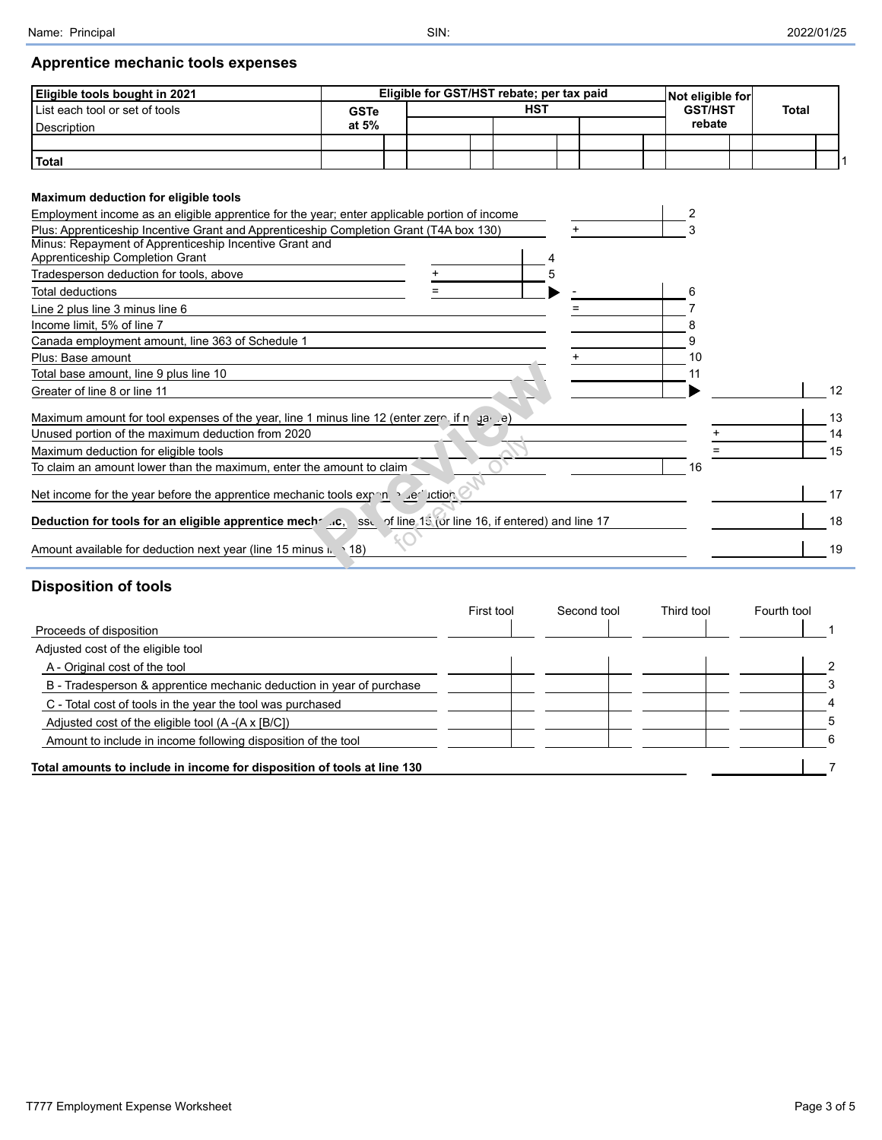# **Apprentice mechanic tools expenses**

| Eligible tools bought in 2021                                                                |             |  | Eligible for GST/HST rebate; per tax paid |  | Not eligible for |              |  |
|----------------------------------------------------------------------------------------------|-------------|--|-------------------------------------------|--|------------------|--------------|--|
| List each tool or set of tools                                                               | <b>GSTe</b> |  | <b>HST</b>                                |  | <b>GST/HST</b>   | <b>Total</b> |  |
| Description                                                                                  | at 5%       |  |                                           |  | rebate           |              |  |
|                                                                                              |             |  |                                           |  |                  |              |  |
| Total                                                                                        |             |  |                                           |  |                  |              |  |
| Maximum deduction for eligible tools                                                         |             |  |                                           |  |                  |              |  |
| Employment income as an eligible apprentice for the vear; enter applicable pertiep of income |             |  |                                           |  |                  |              |  |

| Employment income as an eligible apprentice for the year; enter applicable portion of income                    |    |    |
|-----------------------------------------------------------------------------------------------------------------|----|----|
| Plus: Apprenticeship Incentive Grant and Apprenticeship Completion Grant (T4A box 130)                          |    |    |
| Minus: Repayment of Apprenticeship Incentive Grant and                                                          |    |    |
| Apprenticeship Completion Grant                                                                                 |    |    |
| Tradesperson deduction for tools, above                                                                         |    |    |
| Total deductions                                                                                                | 6  |    |
| Line 2 plus line 3 minus line 6                                                                                 |    |    |
| Income limit, 5% of line 7                                                                                      |    |    |
| Canada employment amount, line 363 of Schedule 1                                                                |    |    |
| Plus: Base amount                                                                                               | 10 |    |
| Total base amount, line 9 plus line 10                                                                          |    |    |
| Greater of line 8 or line 11                                                                                    |    | 12 |
| Maximum amount for tool expenses of the year, line 1 minus line 12 (enter zero if n ga e)                       |    | 13 |
| Unused portion of the maximum deduction from 2020                                                               |    | 14 |
| Maximum deduction for eligible tools                                                                            |    | 15 |
| To claim an amount lower than the maximum, enter the amount to claim                                            | 16 |    |
| Net income for the year before the apprentice mechanic tools exponed and rection                                |    | 17 |
| Deduction for tools for an eligible apprentice mechanics, issue of line 15 (or line 16, if entered) and line 17 |    | 18 |
| Amount available for deduction next year (line 15 minus in<br>$\setminus$ 18)                                   |    | 19 |

# **Disposition of tools**

|                                                                         | First tool | Second tool | Third tool | Fourth tool |
|-------------------------------------------------------------------------|------------|-------------|------------|-------------|
| Proceeds of disposition                                                 |            |             |            |             |
| Adjusted cost of the eligible tool                                      |            |             |            |             |
| A - Original cost of the tool                                           |            |             |            | っ           |
| B - Tradesperson & apprentice mechanic deduction in year of purchase    |            |             |            |             |
| C - Total cost of tools in the year the tool was purchased              |            |             |            | 4           |
| Adjusted cost of the eligible tool $(A - (A \times [B/C]))$             |            |             |            | 5           |
| Amount to include in income following disposition of the tool           |            |             |            | 6           |
| Total amounts to include in income for disposition of tools at line 130 |            |             |            |             |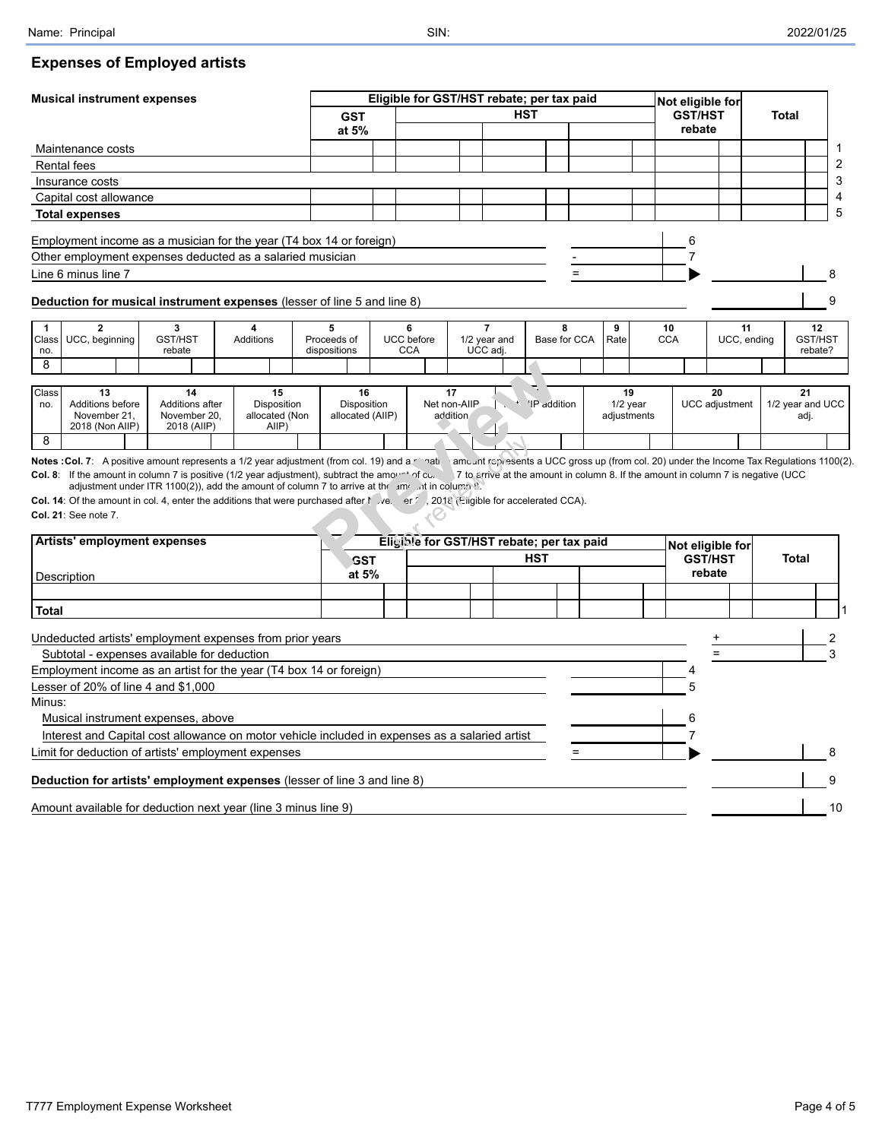### **Expenses of Employed artists**

| <b>HST</b><br><b>GST/HST</b><br>Total<br><b>GST</b><br>rebate<br>at 5%<br>Maintenance costs<br><b>Rental fees</b><br>Insurance costs<br>Capital cost allowance<br><b>Total expenses</b><br>Employment income as a musician for the year (T4 box 14 or foreign)<br>6<br>Other employment expenses deducted as a salaried musician<br>7<br>Line 6 minus line 7<br>Deduction for musical instrument expenses (lesser of line 5 and line 8)<br>9<br>$\overline{7}$<br>$\mathbf{2}$<br>3<br>5<br>6<br>9<br>$\mathbf{1}$<br>8<br>10<br>11<br>12<br>4<br>UCC, beginning<br>GST/HST<br>Additions<br>Proceeds of<br><b>UCC</b> before<br>1/2 year and<br>Base for CCA<br>Rate<br><b>CCA</b><br>UCC, ending<br>GST/HST<br>Class<br>UCC adj<br>rebate<br>dispositions<br><b>CCA</b><br>rebate?<br>no.<br>8<br>Class<br>15<br>13<br>14<br>16<br>17<br>19<br>20<br>21<br>Disposition<br>Net non-AllP<br>'IP addition<br>$1/2$ year<br><b>UCC</b> adjustment<br>Additions before<br>Additions after<br>Disposition<br>1/2 year and UCC<br>no.<br>allocated (Non<br>allocated (AIIP)<br>adjustments<br>November 21,<br>November 20,<br>addition<br>adj.<br>2018 (Non AIIP)<br>2018 (AIIP)<br>AllP)<br>8<br>amcunt represents a UCC gross up (from col. 20) under the Income Tax Regulations 1100(2).<br><b>Notes : Col. 7:</b> A positive amount represents a 1/2 year adjustment (from col. 19) and a relation<br>Col. 8: If the amount in column 7 is positive (1/2 year adjustment), subtract the amount of col.<br>7 to arrive at the amount in column 8. If the amount in column 7 is negative (UCC<br>adjustment under ITR 1100(2)), add the amount of column 7 to arrive at the amount in column $\Sigma$ .<br>Col. 14: Of the amount in col. 4, enter the additions that were purchased after $\land$ ye. er $\land$ 2018 (Engible for accelerated CCA).<br>Col. 21: See note 7.<br>Artists' employment expenses<br>Eligible for GST/HST rebate; per tax paid<br>Not eligible for<br><b>HST</b><br><b>GST/HST</b><br><b>Total</b><br><b>GST</b><br>rebate<br>at 5%<br>Description<br><b>Total</b><br>Undeducted artists' employment expenses from prior years<br>Subtotal - expenses available for deduction<br>Employment income as an artist for the year (T4 box 14 or foreign)<br>Lesser of 20% of line 4 and $$1,000$<br>Minus:<br>Musical instrument expenses, above<br>Interest and Capital cost allowance on motor vehicle included in expenses as a salaried artist<br>Limit for deduction of artists' employment expenses<br>Deduction for artists' employment expenses (lesser of line 3 and line 8)<br>Amount available for deduction next year (line 3 minus line 9) | <b>Musical instrument expenses</b> |  | Eligible for GST/HST rebate; per tax paid |  |  |  | Not eligible for |  |  |
|----------------------------------------------------------------------------------------------------------------------------------------------------------------------------------------------------------------------------------------------------------------------------------------------------------------------------------------------------------------------------------------------------------------------------------------------------------------------------------------------------------------------------------------------------------------------------------------------------------------------------------------------------------------------------------------------------------------------------------------------------------------------------------------------------------------------------------------------------------------------------------------------------------------------------------------------------------------------------------------------------------------------------------------------------------------------------------------------------------------------------------------------------------------------------------------------------------------------------------------------------------------------------------------------------------------------------------------------------------------------------------------------------------------------------------------------------------------------------------------------------------------------------------------------------------------------------------------------------------------------------------------------------------------------------------------------------------------------------------------------------------------------------------------------------------------------------------------------------------------------------------------------------------------------------------------------------------------------------------------------------------------------------------------------------------------------------------------------------------------------------------------------------------------------------------------------------------------------------------------------------------------------------------------------------------------------------------------------------------------------------------------------------------------------------------------------------------------------------------------------------------------------------------------------------------------------------------------------------------------------------------------------------------------------------|------------------------------------|--|-------------------------------------------|--|--|--|------------------|--|--|
|                                                                                                                                                                                                                                                                                                                                                                                                                                                                                                                                                                                                                                                                                                                                                                                                                                                                                                                                                                                                                                                                                                                                                                                                                                                                                                                                                                                                                                                                                                                                                                                                                                                                                                                                                                                                                                                                                                                                                                                                                                                                                                                                                                                                                                                                                                                                                                                                                                                                                                                                                                                                                                                                            |                                    |  |                                           |  |  |  |                  |  |  |
|                                                                                                                                                                                                                                                                                                                                                                                                                                                                                                                                                                                                                                                                                                                                                                                                                                                                                                                                                                                                                                                                                                                                                                                                                                                                                                                                                                                                                                                                                                                                                                                                                                                                                                                                                                                                                                                                                                                                                                                                                                                                                                                                                                                                                                                                                                                                                                                                                                                                                                                                                                                                                                                                            |                                    |  |                                           |  |  |  |                  |  |  |
|                                                                                                                                                                                                                                                                                                                                                                                                                                                                                                                                                                                                                                                                                                                                                                                                                                                                                                                                                                                                                                                                                                                                                                                                                                                                                                                                                                                                                                                                                                                                                                                                                                                                                                                                                                                                                                                                                                                                                                                                                                                                                                                                                                                                                                                                                                                                                                                                                                                                                                                                                                                                                                                                            |                                    |  |                                           |  |  |  |                  |  |  |
|                                                                                                                                                                                                                                                                                                                                                                                                                                                                                                                                                                                                                                                                                                                                                                                                                                                                                                                                                                                                                                                                                                                                                                                                                                                                                                                                                                                                                                                                                                                                                                                                                                                                                                                                                                                                                                                                                                                                                                                                                                                                                                                                                                                                                                                                                                                                                                                                                                                                                                                                                                                                                                                                            |                                    |  |                                           |  |  |  |                  |  |  |
|                                                                                                                                                                                                                                                                                                                                                                                                                                                                                                                                                                                                                                                                                                                                                                                                                                                                                                                                                                                                                                                                                                                                                                                                                                                                                                                                                                                                                                                                                                                                                                                                                                                                                                                                                                                                                                                                                                                                                                                                                                                                                                                                                                                                                                                                                                                                                                                                                                                                                                                                                                                                                                                                            |                                    |  |                                           |  |  |  |                  |  |  |
|                                                                                                                                                                                                                                                                                                                                                                                                                                                                                                                                                                                                                                                                                                                                                                                                                                                                                                                                                                                                                                                                                                                                                                                                                                                                                                                                                                                                                                                                                                                                                                                                                                                                                                                                                                                                                                                                                                                                                                                                                                                                                                                                                                                                                                                                                                                                                                                                                                                                                                                                                                                                                                                                            |                                    |  |                                           |  |  |  |                  |  |  |
|                                                                                                                                                                                                                                                                                                                                                                                                                                                                                                                                                                                                                                                                                                                                                                                                                                                                                                                                                                                                                                                                                                                                                                                                                                                                                                                                                                                                                                                                                                                                                                                                                                                                                                                                                                                                                                                                                                                                                                                                                                                                                                                                                                                                                                                                                                                                                                                                                                                                                                                                                                                                                                                                            |                                    |  |                                           |  |  |  |                  |  |  |
|                                                                                                                                                                                                                                                                                                                                                                                                                                                                                                                                                                                                                                                                                                                                                                                                                                                                                                                                                                                                                                                                                                                                                                                                                                                                                                                                                                                                                                                                                                                                                                                                                                                                                                                                                                                                                                                                                                                                                                                                                                                                                                                                                                                                                                                                                                                                                                                                                                                                                                                                                                                                                                                                            |                                    |  |                                           |  |  |  |                  |  |  |
|                                                                                                                                                                                                                                                                                                                                                                                                                                                                                                                                                                                                                                                                                                                                                                                                                                                                                                                                                                                                                                                                                                                                                                                                                                                                                                                                                                                                                                                                                                                                                                                                                                                                                                                                                                                                                                                                                                                                                                                                                                                                                                                                                                                                                                                                                                                                                                                                                                                                                                                                                                                                                                                                            |                                    |  |                                           |  |  |  |                  |  |  |
|                                                                                                                                                                                                                                                                                                                                                                                                                                                                                                                                                                                                                                                                                                                                                                                                                                                                                                                                                                                                                                                                                                                                                                                                                                                                                                                                                                                                                                                                                                                                                                                                                                                                                                                                                                                                                                                                                                                                                                                                                                                                                                                                                                                                                                                                                                                                                                                                                                                                                                                                                                                                                                                                            |                                    |  |                                           |  |  |  |                  |  |  |
|                                                                                                                                                                                                                                                                                                                                                                                                                                                                                                                                                                                                                                                                                                                                                                                                                                                                                                                                                                                                                                                                                                                                                                                                                                                                                                                                                                                                                                                                                                                                                                                                                                                                                                                                                                                                                                                                                                                                                                                                                                                                                                                                                                                                                                                                                                                                                                                                                                                                                                                                                                                                                                                                            |                                    |  |                                           |  |  |  |                  |  |  |
|                                                                                                                                                                                                                                                                                                                                                                                                                                                                                                                                                                                                                                                                                                                                                                                                                                                                                                                                                                                                                                                                                                                                                                                                                                                                                                                                                                                                                                                                                                                                                                                                                                                                                                                                                                                                                                                                                                                                                                                                                                                                                                                                                                                                                                                                                                                                                                                                                                                                                                                                                                                                                                                                            |                                    |  |                                           |  |  |  |                  |  |  |
|                                                                                                                                                                                                                                                                                                                                                                                                                                                                                                                                                                                                                                                                                                                                                                                                                                                                                                                                                                                                                                                                                                                                                                                                                                                                                                                                                                                                                                                                                                                                                                                                                                                                                                                                                                                                                                                                                                                                                                                                                                                                                                                                                                                                                                                                                                                                                                                                                                                                                                                                                                                                                                                                            |                                    |  |                                           |  |  |  |                  |  |  |
|                                                                                                                                                                                                                                                                                                                                                                                                                                                                                                                                                                                                                                                                                                                                                                                                                                                                                                                                                                                                                                                                                                                                                                                                                                                                                                                                                                                                                                                                                                                                                                                                                                                                                                                                                                                                                                                                                                                                                                                                                                                                                                                                                                                                                                                                                                                                                                                                                                                                                                                                                                                                                                                                            |                                    |  |                                           |  |  |  |                  |  |  |
|                                                                                                                                                                                                                                                                                                                                                                                                                                                                                                                                                                                                                                                                                                                                                                                                                                                                                                                                                                                                                                                                                                                                                                                                                                                                                                                                                                                                                                                                                                                                                                                                                                                                                                                                                                                                                                                                                                                                                                                                                                                                                                                                                                                                                                                                                                                                                                                                                                                                                                                                                                                                                                                                            |                                    |  |                                           |  |  |  |                  |  |  |
|                                                                                                                                                                                                                                                                                                                                                                                                                                                                                                                                                                                                                                                                                                                                                                                                                                                                                                                                                                                                                                                                                                                                                                                                                                                                                                                                                                                                                                                                                                                                                                                                                                                                                                                                                                                                                                                                                                                                                                                                                                                                                                                                                                                                                                                                                                                                                                                                                                                                                                                                                                                                                                                                            |                                    |  |                                           |  |  |  |                  |  |  |
|                                                                                                                                                                                                                                                                                                                                                                                                                                                                                                                                                                                                                                                                                                                                                                                                                                                                                                                                                                                                                                                                                                                                                                                                                                                                                                                                                                                                                                                                                                                                                                                                                                                                                                                                                                                                                                                                                                                                                                                                                                                                                                                                                                                                                                                                                                                                                                                                                                                                                                                                                                                                                                                                            |                                    |  |                                           |  |  |  |                  |  |  |
|                                                                                                                                                                                                                                                                                                                                                                                                                                                                                                                                                                                                                                                                                                                                                                                                                                                                                                                                                                                                                                                                                                                                                                                                                                                                                                                                                                                                                                                                                                                                                                                                                                                                                                                                                                                                                                                                                                                                                                                                                                                                                                                                                                                                                                                                                                                                                                                                                                                                                                                                                                                                                                                                            |                                    |  |                                           |  |  |  |                  |  |  |
|                                                                                                                                                                                                                                                                                                                                                                                                                                                                                                                                                                                                                                                                                                                                                                                                                                                                                                                                                                                                                                                                                                                                                                                                                                                                                                                                                                                                                                                                                                                                                                                                                                                                                                                                                                                                                                                                                                                                                                                                                                                                                                                                                                                                                                                                                                                                                                                                                                                                                                                                                                                                                                                                            |                                    |  |                                           |  |  |  |                  |  |  |
|                                                                                                                                                                                                                                                                                                                                                                                                                                                                                                                                                                                                                                                                                                                                                                                                                                                                                                                                                                                                                                                                                                                                                                                                                                                                                                                                                                                                                                                                                                                                                                                                                                                                                                                                                                                                                                                                                                                                                                                                                                                                                                                                                                                                                                                                                                                                                                                                                                                                                                                                                                                                                                                                            |                                    |  |                                           |  |  |  |                  |  |  |
|                                                                                                                                                                                                                                                                                                                                                                                                                                                                                                                                                                                                                                                                                                                                                                                                                                                                                                                                                                                                                                                                                                                                                                                                                                                                                                                                                                                                                                                                                                                                                                                                                                                                                                                                                                                                                                                                                                                                                                                                                                                                                                                                                                                                                                                                                                                                                                                                                                                                                                                                                                                                                                                                            |                                    |  |                                           |  |  |  |                  |  |  |
|                                                                                                                                                                                                                                                                                                                                                                                                                                                                                                                                                                                                                                                                                                                                                                                                                                                                                                                                                                                                                                                                                                                                                                                                                                                                                                                                                                                                                                                                                                                                                                                                                                                                                                                                                                                                                                                                                                                                                                                                                                                                                                                                                                                                                                                                                                                                                                                                                                                                                                                                                                                                                                                                            |                                    |  |                                           |  |  |  |                  |  |  |
|                                                                                                                                                                                                                                                                                                                                                                                                                                                                                                                                                                                                                                                                                                                                                                                                                                                                                                                                                                                                                                                                                                                                                                                                                                                                                                                                                                                                                                                                                                                                                                                                                                                                                                                                                                                                                                                                                                                                                                                                                                                                                                                                                                                                                                                                                                                                                                                                                                                                                                                                                                                                                                                                            |                                    |  |                                           |  |  |  |                  |  |  |
|                                                                                                                                                                                                                                                                                                                                                                                                                                                                                                                                                                                                                                                                                                                                                                                                                                                                                                                                                                                                                                                                                                                                                                                                                                                                                                                                                                                                                                                                                                                                                                                                                                                                                                                                                                                                                                                                                                                                                                                                                                                                                                                                                                                                                                                                                                                                                                                                                                                                                                                                                                                                                                                                            |                                    |  |                                           |  |  |  |                  |  |  |
|                                                                                                                                                                                                                                                                                                                                                                                                                                                                                                                                                                                                                                                                                                                                                                                                                                                                                                                                                                                                                                                                                                                                                                                                                                                                                                                                                                                                                                                                                                                                                                                                                                                                                                                                                                                                                                                                                                                                                                                                                                                                                                                                                                                                                                                                                                                                                                                                                                                                                                                                                                                                                                                                            |                                    |  |                                           |  |  |  |                  |  |  |
|                                                                                                                                                                                                                                                                                                                                                                                                                                                                                                                                                                                                                                                                                                                                                                                                                                                                                                                                                                                                                                                                                                                                                                                                                                                                                                                                                                                                                                                                                                                                                                                                                                                                                                                                                                                                                                                                                                                                                                                                                                                                                                                                                                                                                                                                                                                                                                                                                                                                                                                                                                                                                                                                            |                                    |  |                                           |  |  |  |                  |  |  |
|                                                                                                                                                                                                                                                                                                                                                                                                                                                                                                                                                                                                                                                                                                                                                                                                                                                                                                                                                                                                                                                                                                                                                                                                                                                                                                                                                                                                                                                                                                                                                                                                                                                                                                                                                                                                                                                                                                                                                                                                                                                                                                                                                                                                                                                                                                                                                                                                                                                                                                                                                                                                                                                                            |                                    |  |                                           |  |  |  |                  |  |  |
|                                                                                                                                                                                                                                                                                                                                                                                                                                                                                                                                                                                                                                                                                                                                                                                                                                                                                                                                                                                                                                                                                                                                                                                                                                                                                                                                                                                                                                                                                                                                                                                                                                                                                                                                                                                                                                                                                                                                                                                                                                                                                                                                                                                                                                                                                                                                                                                                                                                                                                                                                                                                                                                                            |                                    |  |                                           |  |  |  |                  |  |  |
|                                                                                                                                                                                                                                                                                                                                                                                                                                                                                                                                                                                                                                                                                                                                                                                                                                                                                                                                                                                                                                                                                                                                                                                                                                                                                                                                                                                                                                                                                                                                                                                                                                                                                                                                                                                                                                                                                                                                                                                                                                                                                                                                                                                                                                                                                                                                                                                                                                                                                                                                                                                                                                                                            |                                    |  |                                           |  |  |  |                  |  |  |
|                                                                                                                                                                                                                                                                                                                                                                                                                                                                                                                                                                                                                                                                                                                                                                                                                                                                                                                                                                                                                                                                                                                                                                                                                                                                                                                                                                                                                                                                                                                                                                                                                                                                                                                                                                                                                                                                                                                                                                                                                                                                                                                                                                                                                                                                                                                                                                                                                                                                                                                                                                                                                                                                            |                                    |  |                                           |  |  |  |                  |  |  |
|                                                                                                                                                                                                                                                                                                                                                                                                                                                                                                                                                                                                                                                                                                                                                                                                                                                                                                                                                                                                                                                                                                                                                                                                                                                                                                                                                                                                                                                                                                                                                                                                                                                                                                                                                                                                                                                                                                                                                                                                                                                                                                                                                                                                                                                                                                                                                                                                                                                                                                                                                                                                                                                                            |                                    |  |                                           |  |  |  |                  |  |  |
|                                                                                                                                                                                                                                                                                                                                                                                                                                                                                                                                                                                                                                                                                                                                                                                                                                                                                                                                                                                                                                                                                                                                                                                                                                                                                                                                                                                                                                                                                                                                                                                                                                                                                                                                                                                                                                                                                                                                                                                                                                                                                                                                                                                                                                                                                                                                                                                                                                                                                                                                                                                                                                                                            |                                    |  |                                           |  |  |  |                  |  |  |
|                                                                                                                                                                                                                                                                                                                                                                                                                                                                                                                                                                                                                                                                                                                                                                                                                                                                                                                                                                                                                                                                                                                                                                                                                                                                                                                                                                                                                                                                                                                                                                                                                                                                                                                                                                                                                                                                                                                                                                                                                                                                                                                                                                                                                                                                                                                                                                                                                                                                                                                                                                                                                                                                            |                                    |  |                                           |  |  |  |                  |  |  |
|                                                                                                                                                                                                                                                                                                                                                                                                                                                                                                                                                                                                                                                                                                                                                                                                                                                                                                                                                                                                                                                                                                                                                                                                                                                                                                                                                                                                                                                                                                                                                                                                                                                                                                                                                                                                                                                                                                                                                                                                                                                                                                                                                                                                                                                                                                                                                                                                                                                                                                                                                                                                                                                                            |                                    |  |                                           |  |  |  |                  |  |  |
|                                                                                                                                                                                                                                                                                                                                                                                                                                                                                                                                                                                                                                                                                                                                                                                                                                                                                                                                                                                                                                                                                                                                                                                                                                                                                                                                                                                                                                                                                                                                                                                                                                                                                                                                                                                                                                                                                                                                                                                                                                                                                                                                                                                                                                                                                                                                                                                                                                                                                                                                                                                                                                                                            |                                    |  |                                           |  |  |  |                  |  |  |